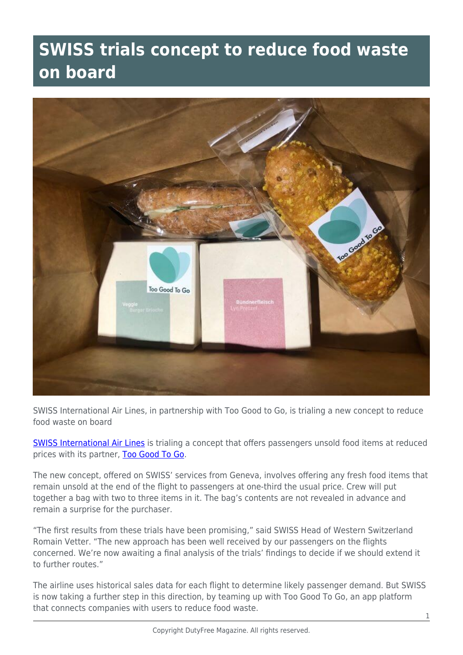## **SWISS trials concept to reduce food waste on board**



SWISS International Air Lines, in partnership with Too Good to Go, is trialing a new concept to reduce food waste on board

[SWISS International Air Lines](https://www.swiss.com/ca/en/homepage) is trialing a concept that offers passengers unsold food items at reduced prices with its partner, [Too Good To Go](https://toogoodtogo.ca/en-ca?utm_medium=Search&utm_source=Google&utm_campaign=CA_B2C_Paid_Marketing_Search_Google_Brand&gclid=CjwKCAjw49qKBhAoEiwAHQVTo3hAa_gX1WAlaA-4I6baq_r0puV5UesWA-vYcgBrm5Xutjr_AzEDhxoCi8YQAvD_BwE).

The new concept, offered on SWISS' services from Geneva, involves offering any fresh food items that remain unsold at the end of the flight to passengers at one-third the usual price. Crew will put together a bag with two to three items in it. The bag's contents are not revealed in advance and remain a surprise for the purchaser.

"The first results from these trials have been promising," said SWISS Head of Western Switzerland Romain Vetter. "The new approach has been well received by our passengers on the flights concerned. We're now awaiting a final analysis of the trials' findings to decide if we should extend it to further routes."

The airline uses historical sales data for each flight to determine likely passenger demand. But SWISS is now taking a further step in this direction, by teaming up with Too Good To Go, an app platform that connects companies with users to reduce food waste.